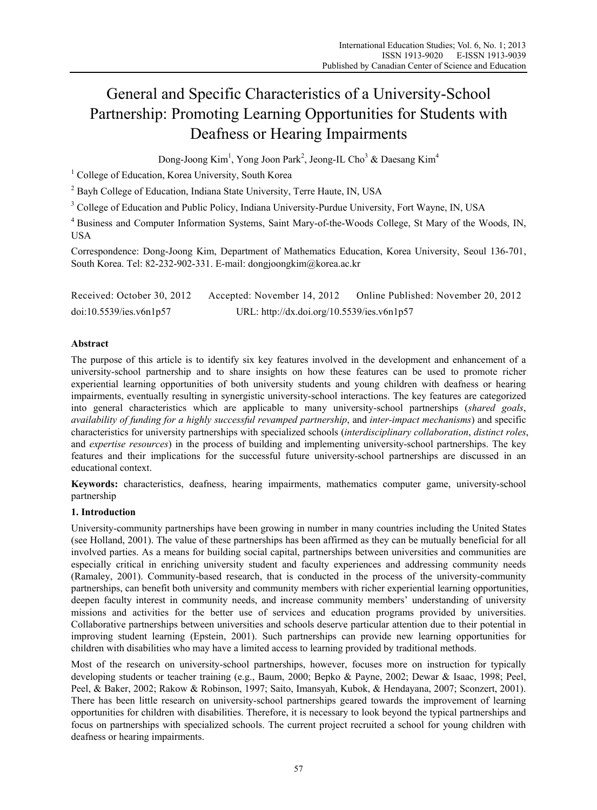# General and Specific Characteristics of a University-School Partnership: Promoting Learning Opportunities for Students with Deafness or Hearing Impairments

Dong-Joong Kim<sup>1</sup>, Yong Joon Park<sup>2</sup>, Jeong-IL Cho<sup>3</sup> & Daesang Kim<sup>4</sup>

<sup>1</sup> College of Education, Korea University, South Korea

<sup>2</sup> Bayh College of Education, Indiana State University, Terre Haute, IN, USA

<sup>3</sup> College of Education and Public Policy, Indiana University-Purdue University, Fort Wayne, IN, USA

<sup>4</sup> Business and Computer Information Systems, Saint Mary-of-the-Woods College, St Mary of the Woods, IN, USA

Correspondence: Dong-Joong Kim, Department of Mathematics Education, Korea University, Seoul 136-701, South Korea. Tel: 82-232-902-331. E-mail: dongjoongkim@korea.ac.kr

Received: October 30, 2012 Accepted: November 14, 2012 Online Published: November 20, 2012 doi:10.5539/ies.v6n1p57 URL: http://dx.doi.org/10.5539/ies.v6n1p57

## **Abstract**

The purpose of this article is to identify six key features involved in the development and enhancement of a university-school partnership and to share insights on how these features can be used to promote richer experiential learning opportunities of both university students and young children with deafness or hearing impairments, eventually resulting in synergistic university-school interactions. The key features are categorized into general characteristics which are applicable to many university-school partnerships (*shared goals*, *availability of funding for a highly successful revamped partnership*, and *inter-impact mechanisms*) and specific characteristics for university partnerships with specialized schools (*interdisciplinary collaboration*, *distinct roles*, and *expertise resources*) in the process of building and implementing university-school partnerships. The key features and their implications for the successful future university-school partnerships are discussed in an educational context.

**Keywords:** characteristics, deafness, hearing impairments, mathematics computer game, university-school partnership

# **1. Introduction**

University-community partnerships have been growing in number in many countries including the United States (see Holland, 2001). The value of these partnerships has been affirmed as they can be mutually beneficial for all involved parties. As a means for building social capital, partnerships between universities and communities are especially critical in enriching university student and faculty experiences and addressing community needs (Ramaley, 2001). Community-based research, that is conducted in the process of the university-community partnerships, can benefit both university and community members with richer experiential learning opportunities, deepen faculty interest in community needs, and increase community members' understanding of university missions and activities for the better use of services and education programs provided by universities. Collaborative partnerships between universities and schools deserve particular attention due to their potential in improving student learning (Epstein, 2001). Such partnerships can provide new learning opportunities for children with disabilities who may have a limited access to learning provided by traditional methods.

Most of the research on university-school partnerships, however, focuses more on instruction for typically developing students or teacher training (e.g., Baum, 2000; Bepko & Payne, 2002; Dewar & Isaac, 1998; Peel, Peel, & Baker, 2002; Rakow & Robinson, 1997; Saito, Imansyah, Kubok, & Hendayana, 2007; Sconzert, 2001). There has been little research on university-school partnerships geared towards the improvement of learning opportunities for children with disabilities. Therefore, it is necessary to look beyond the typical partnerships and focus on partnerships with specialized schools. The current project recruited a school for young children with deafness or hearing impairments.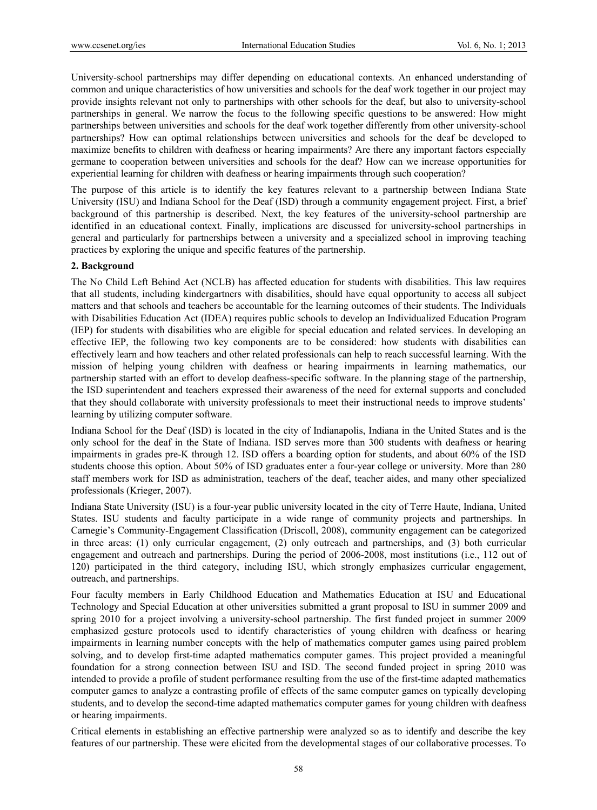University-school partnerships may differ depending on educational contexts. An enhanced understanding of common and unique characteristics of how universities and schools for the deaf work together in our project may provide insights relevant not only to partnerships with other schools for the deaf, but also to university-school partnerships in general. We narrow the focus to the following specific questions to be answered: How might partnerships between universities and schools for the deaf work together differently from other university-school partnerships? How can optimal relationships between universities and schools for the deaf be developed to maximize benefits to children with deafness or hearing impairments? Are there any important factors especially germane to cooperation between universities and schools for the deaf? How can we increase opportunities for experiential learning for children with deafness or hearing impairments through such cooperation?

The purpose of this article is to identify the key features relevant to a partnership between Indiana State University (ISU) and Indiana School for the Deaf (ISD) through a community engagement project. First, a brief background of this partnership is described. Next, the key features of the university-school partnership are identified in an educational context. Finally, implications are discussed for university-school partnerships in general and particularly for partnerships between a university and a specialized school in improving teaching practices by exploring the unique and specific features of the partnership.

## **2. Background**

The No Child Left Behind Act (NCLB) has affected education for students with disabilities. This law requires that all students, including kindergartners with disabilities, should have equal opportunity to access all subject matters and that schools and teachers be accountable for the learning outcomes of their students. The Individuals with Disabilities Education Act (IDEA) requires public schools to develop an Individualized Education Program (IEP) for students with disabilities who are eligible for special education and related services. In developing an effective IEP, the following two key components are to be considered: how students with disabilities can effectively learn and how teachers and other related professionals can help to reach successful learning. With the mission of helping young children with deafness or hearing impairments in learning mathematics, our partnership started with an effort to develop deafness-specific software. In the planning stage of the partnership, the ISD superintendent and teachers expressed their awareness of the need for external supports and concluded that they should collaborate with university professionals to meet their instructional needs to improve students' learning by utilizing computer software.

Indiana School for the Deaf (ISD) is located in the city of Indianapolis, Indiana in the United States and is the only school for the deaf in the State of Indiana. ISD serves more than 300 students with deafness or hearing impairments in grades pre-K through 12. ISD offers a boarding option for students, and about 60% of the ISD students choose this option. About 50% of ISD graduates enter a four-year college or university. More than 280 staff members work for ISD as administration, teachers of the deaf, teacher aides, and many other specialized professionals (Krieger, 2007).

Indiana State University (ISU) is a four-year public university located in the city of Terre Haute, Indiana, United States. ISU students and faculty participate in a wide range of community projects and partnerships. In Carnegie's Community-Engagement Classification (Driscoll, 2008), community engagement can be categorized in three areas: (1) only curricular engagement, (2) only outreach and partnerships, and (3) both curricular engagement and outreach and partnerships. During the period of 2006-2008, most institutions (i.e., 112 out of 120) participated in the third category, including ISU, which strongly emphasizes curricular engagement, outreach, and partnerships.

Four faculty members in Early Childhood Education and Mathematics Education at ISU and Educational Technology and Special Education at other universities submitted a grant proposal to ISU in summer 2009 and spring 2010 for a project involving a university-school partnership. The first funded project in summer 2009 emphasized gesture protocols used to identify characteristics of young children with deafness or hearing impairments in learning number concepts with the help of mathematics computer games using paired problem solving, and to develop first-time adapted mathematics computer games. This project provided a meaningful foundation for a strong connection between ISU and ISD. The second funded project in spring 2010 was intended to provide a profile of student performance resulting from the use of the first-time adapted mathematics computer games to analyze a contrasting profile of effects of the same computer games on typically developing students, and to develop the second-time adapted mathematics computer games for young children with deafness or hearing impairments.

Critical elements in establishing an effective partnership were analyzed so as to identify and describe the key features of our partnership. These were elicited from the developmental stages of our collaborative processes. To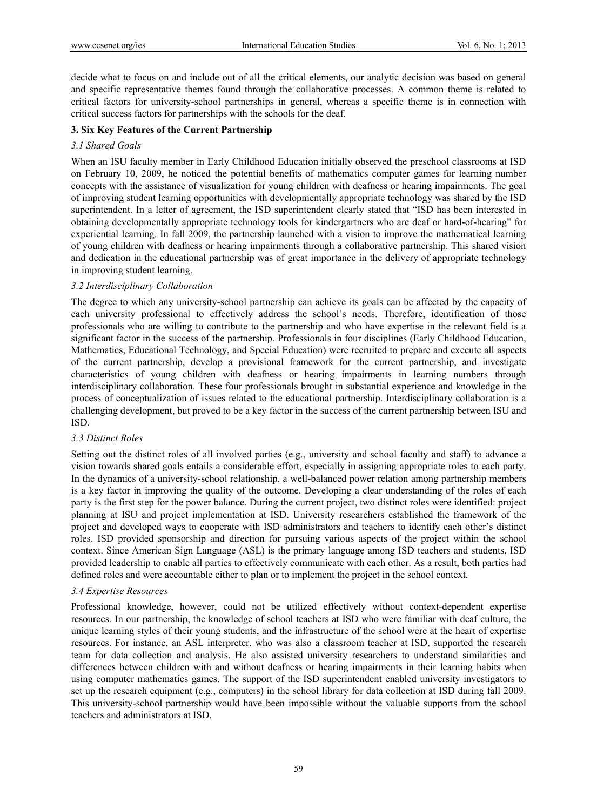decide what to focus on and include out of all the critical elements, our analytic decision was based on general and specific representative themes found through the collaborative processes. A common theme is related to critical factors for university-school partnerships in general, whereas a specific theme is in connection with critical success factors for partnerships with the schools for the deaf.

#### **3. Six Key Features of the Current Partnership**

#### *3.1 Shared Goals*

When an ISU faculty member in Early Childhood Education initially observed the preschool classrooms at ISD on February 10, 2009, he noticed the potential benefits of mathematics computer games for learning number concepts with the assistance of visualization for young children with deafness or hearing impairments. The goal of improving student learning opportunities with developmentally appropriate technology was shared by the ISD superintendent. In a letter of agreement, the ISD superintendent clearly stated that "ISD has been interested in obtaining developmentally appropriate technology tools for kindergartners who are deaf or hard-of-hearing" for experiential learning. In fall 2009, the partnership launched with a vision to improve the mathematical learning of young children with deafness or hearing impairments through a collaborative partnership. This shared vision and dedication in the educational partnership was of great importance in the delivery of appropriate technology in improving student learning.

#### *3.2 Interdisciplinary Collaboration*

The degree to which any university-school partnership can achieve its goals can be affected by the capacity of each university professional to effectively address the school's needs. Therefore, identification of those professionals who are willing to contribute to the partnership and who have expertise in the relevant field is a significant factor in the success of the partnership. Professionals in four disciplines (Early Childhood Education, Mathematics, Educational Technology, and Special Education) were recruited to prepare and execute all aspects of the current partnership, develop a provisional framework for the current partnership, and investigate characteristics of young children with deafness or hearing impairments in learning numbers through interdisciplinary collaboration. These four professionals brought in substantial experience and knowledge in the process of conceptualization of issues related to the educational partnership. Interdisciplinary collaboration is a challenging development, but proved to be a key factor in the success of the current partnership between ISU and ISD.

## *3.3 Distinct Roles*

Setting out the distinct roles of all involved parties (e.g., university and school faculty and staff) to advance a vision towards shared goals entails a considerable effort, especially in assigning appropriate roles to each party. In the dynamics of a university-school relationship, a well-balanced power relation among partnership members is a key factor in improving the quality of the outcome. Developing a clear understanding of the roles of each party is the first step for the power balance. During the current project, two distinct roles were identified: project planning at ISU and project implementation at ISD. University researchers established the framework of the project and developed ways to cooperate with ISD administrators and teachers to identify each other's distinct roles. ISD provided sponsorship and direction for pursuing various aspects of the project within the school context. Since American Sign Language (ASL) is the primary language among ISD teachers and students, ISD provided leadership to enable all parties to effectively communicate with each other. As a result, both parties had defined roles and were accountable either to plan or to implement the project in the school context.

## *3.4 Expertise Resources*

Professional knowledge, however, could not be utilized effectively without context-dependent expertise resources. In our partnership, the knowledge of school teachers at ISD who were familiar with deaf culture, the unique learning styles of their young students, and the infrastructure of the school were at the heart of expertise resources. For instance, an ASL interpreter, who was also a classroom teacher at ISD, supported the research team for data collection and analysis. He also assisted university researchers to understand similarities and differences between children with and without deafness or hearing impairments in their learning habits when using computer mathematics games. The support of the ISD superintendent enabled university investigators to set up the research equipment (e.g., computers) in the school library for data collection at ISD during fall 2009. This university-school partnership would have been impossible without the valuable supports from the school teachers and administrators at ISD.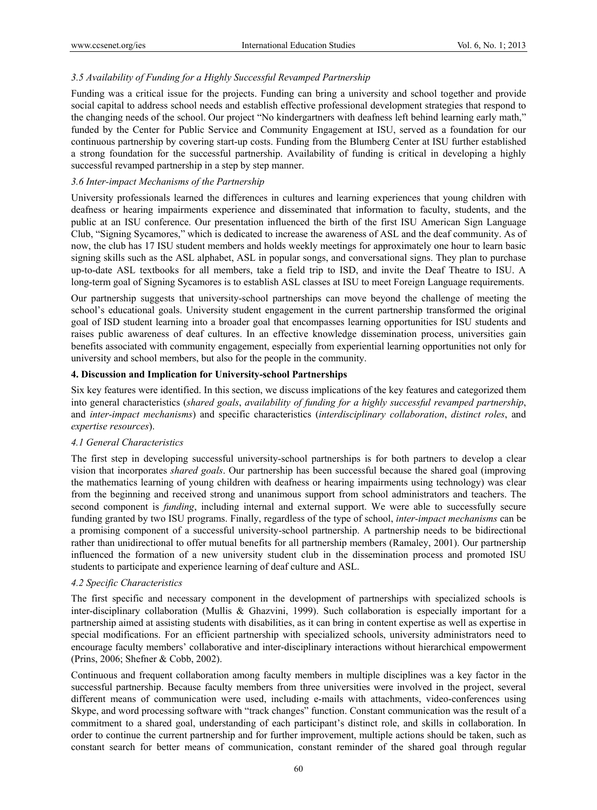## *3.5 Availability of Funding for a Highly Successful Revamped Partnership*

Funding was a critical issue for the projects. Funding can bring a university and school together and provide social capital to address school needs and establish effective professional development strategies that respond to the changing needs of the school. Our project "No kindergartners with deafness left behind learning early math," funded by the Center for Public Service and Community Engagement at ISU, served as a foundation for our continuous partnership by covering start-up costs. Funding from the Blumberg Center at ISU further established a strong foundation for the successful partnership. Availability of funding is critical in developing a highly successful revamped partnership in a step by step manner.

## *3.6 Inter-impact Mechanisms of the Partnership*

University professionals learned the differences in cultures and learning experiences that young children with deafness or hearing impairments experience and disseminated that information to faculty, students, and the public at an ISU conference. Our presentation influenced the birth of the first ISU American Sign Language Club, "Signing Sycamores," which is dedicated to increase the awareness of ASL and the deaf community. As of now, the club has 17 ISU student members and holds weekly meetings for approximately one hour to learn basic signing skills such as the ASL alphabet, ASL in popular songs, and conversational signs. They plan to purchase up-to-date ASL textbooks for all members, take a field trip to ISD, and invite the Deaf Theatre to ISU. A long-term goal of Signing Sycamores is to establish ASL classes at ISU to meet Foreign Language requirements.

Our partnership suggests that university-school partnerships can move beyond the challenge of meeting the school's educational goals. University student engagement in the current partnership transformed the original goal of ISD student learning into a broader goal that encompasses learning opportunities for ISU students and raises public awareness of deaf cultures. In an effective knowledge dissemination process, universities gain benefits associated with community engagement, especially from experiential learning opportunities not only for university and school members, but also for the people in the community.

## **4. Discussion and Implication for University-school Partnerships**

Six key features were identified. In this section, we discuss implications of the key features and categorized them into general characteristics (*shared goals*, *availability of funding for a highly successful revamped partnership*, and *inter-impact mechanisms*) and specific characteristics (*interdisciplinary collaboration*, *distinct roles*, and *expertise resources*).

## *4.1 General Characteristics*

The first step in developing successful university-school partnerships is for both partners to develop a clear vision that incorporates *shared goals*. Our partnership has been successful because the shared goal (improving the mathematics learning of young children with deafness or hearing impairments using technology) was clear from the beginning and received strong and unanimous support from school administrators and teachers. The second component is *funding*, including internal and external support. We were able to successfully secure funding granted by two ISU programs. Finally, regardless of the type of school, *inter-impact mechanisms* can be a promising component of a successful university-school partnership. A partnership needs to be bidirectional rather than unidirectional to offer mutual benefits for all partnership members (Ramaley, 2001). Our partnership influenced the formation of a new university student club in the dissemination process and promoted ISU students to participate and experience learning of deaf culture and ASL.

## *4.2 Specific Characteristics*

The first specific and necessary component in the development of partnerships with specialized schools is inter-disciplinary collaboration (Mullis & Ghazvini, 1999). Such collaboration is especially important for a partnership aimed at assisting students with disabilities, as it can bring in content expertise as well as expertise in special modifications. For an efficient partnership with specialized schools, university administrators need to encourage faculty members' collaborative and inter-disciplinary interactions without hierarchical empowerment (Prins, 2006; Shefner & Cobb, 2002).

Continuous and frequent collaboration among faculty members in multiple disciplines was a key factor in the successful partnership. Because faculty members from three universities were involved in the project, several different means of communication were used, including e-mails with attachments, video-conferences using Skype, and word processing software with "track changes" function. Constant communication was the result of a commitment to a shared goal, understanding of each participant's distinct role, and skills in collaboration. In order to continue the current partnership and for further improvement, multiple actions should be taken, such as constant search for better means of communication, constant reminder of the shared goal through regular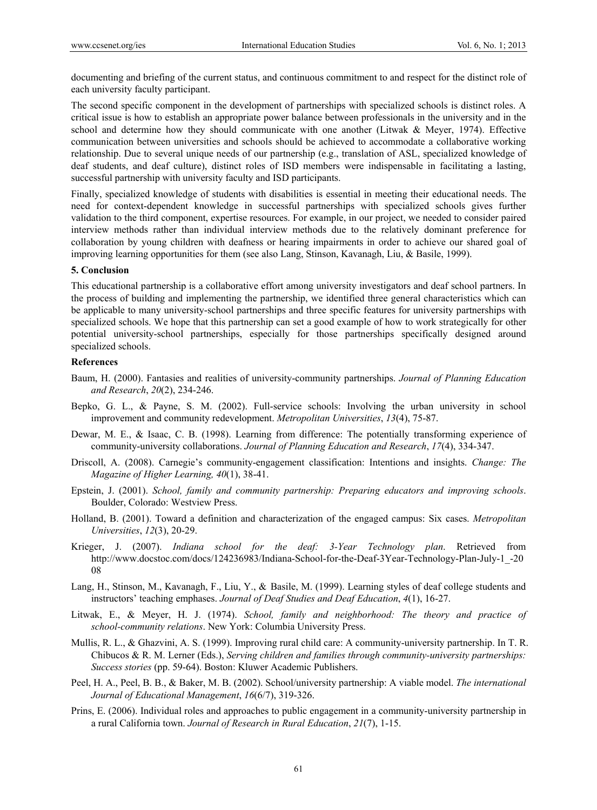documenting and briefing of the current status, and continuous commitment to and respect for the distinct role of each university faculty participant.

The second specific component in the development of partnerships with specialized schools is distinct roles. A critical issue is how to establish an appropriate power balance between professionals in the university and in the school and determine how they should communicate with one another (Litwak & Meyer, 1974). Effective communication between universities and schools should be achieved to accommodate a collaborative working relationship. Due to several unique needs of our partnership (e.g., translation of ASL, specialized knowledge of deaf students, and deaf culture), distinct roles of ISD members were indispensable in facilitating a lasting, successful partnership with university faculty and ISD participants.

Finally, specialized knowledge of students with disabilities is essential in meeting their educational needs. The need for context-dependent knowledge in successful partnerships with specialized schools gives further validation to the third component, expertise resources. For example, in our project, we needed to consider paired interview methods rather than individual interview methods due to the relatively dominant preference for collaboration by young children with deafness or hearing impairments in order to achieve our shared goal of improving learning opportunities for them (see also Lang, Stinson, Kavanagh, Liu, & Basile, 1999).

## **5. Conclusion**

This educational partnership is a collaborative effort among university investigators and deaf school partners. In the process of building and implementing the partnership, we identified three general characteristics which can be applicable to many university-school partnerships and three specific features for university partnerships with specialized schools. We hope that this partnership can set a good example of how to work strategically for other potential university-school partnerships, especially for those partnerships specifically designed around specialized schools.

#### **References**

- Baum, H. (2000). Fantasies and realities of university-community partnerships. *Journal of Planning Education and Research*, *20*(2), 234-246.
- Bepko, G. L., & Payne, S. M. (2002). Full-service schools: Involving the urban university in school improvement and community redevelopment. *Metropolitan Universities*, *13*(4), 75-87.
- Dewar, M. E., & Isaac, C. B. (1998). Learning from difference: The potentially transforming experience of community-university collaborations. *Journal of Planning Education and Research*, *17*(4), 334-347.
- Driscoll, A. (2008). Carnegie's community-engagement classification: Intentions and insights. *Change: The Magazine of Higher Learning, 40*(1), 38-41.
- Epstein, J. (2001). *School, family and community partnership: Preparing educators and improving schools*. Boulder, Colorado: Westview Press.
- Holland, B. (2001). Toward a definition and characterization of the engaged campus: Six cases. *Metropolitan Universities*, *12*(3), 20-29.
- Krieger, J. (2007). *Indiana school for the deaf: 3-Year Technology plan*. Retrieved from http://www.docstoc.com/docs/124236983/Indiana-School-for-the-Deaf-3Year-Technology-Plan-July-1\_-20 08
- Lang, H., Stinson, M., Kavanagh, F., Liu, Y., & Basile, M. (1999). Learning styles of deaf college students and instructors' teaching emphases. *Journal of Deaf Studies and Deaf Education*, *4*(1), 16-27.
- Litwak, E., & Meyer, H. J. (1974). *School, family and neighborhood: The theory and practice of school-community relations*. New York: Columbia University Press.
- Mullis, R. L., & Ghazvini, A. S. (1999). Improving rural child care: A community-university partnership. In T. R. Chibucos & R. M. Lerner (Eds.), *Serving children and families through community-university partnerships: Success stories* (pp. 59-64). Boston: Kluwer Academic Publishers.
- Peel, H. A., Peel, B. B., & Baker, M. B. (2002). School/university partnership: A viable model. *The international Journal of Educational Management*, *16*(6/7), 319-326.
- Prins, E. (2006). Individual roles and approaches to public engagement in a community-university partnership in a rural California town. *Journal of Research in Rural Education*, *21*(7), 1-15.